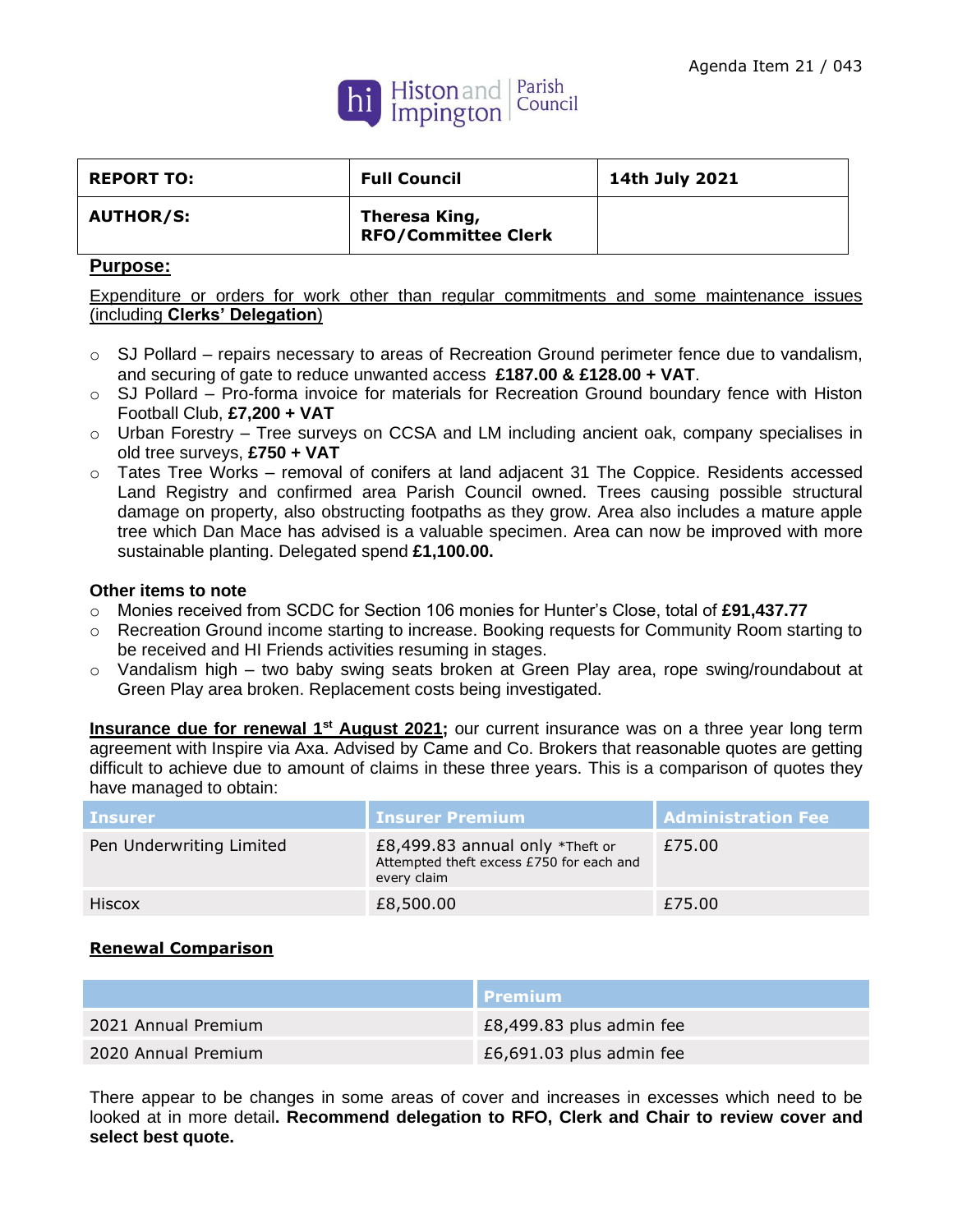

| <b>REPORT TO:</b> | <b>Full Council</b>                         | 14th July 2021 |
|-------------------|---------------------------------------------|----------------|
| <b>AUTHOR/S:</b>  | Theresa King,<br><b>RFO/Committee Clerk</b> |                |

## **Purpose:**

Expenditure or orders for work other than regular commitments and some maintenance issues (including **Clerks' Delegation**)

- $\circ$  SJ Pollard repairs necessary to areas of Recreation Ground perimeter fence due to vandalism, and securing of gate to reduce unwanted access **£187.00 & £128.00 + VAT**.
- $\circ$  SJ Pollard Pro-forma invoice for materials for Recreation Ground boundary fence with Histon Football Club, **£7,200 + VAT**
- o Urban Forestry Tree surveys on CCSA and LM including ancient oak, company specialises in old tree surveys, **£750 + VAT**
- $\circ$  Tates Tree Works removal of conifers at land adiacent 31 The Coppice. Residents accessed Land Registry and confirmed area Parish Council owned. Trees causing possible structural damage on property, also obstructing footpaths as they grow. Area also includes a mature apple tree which Dan Mace has advised is a valuable specimen. Area can now be improved with more sustainable planting. Delegated spend **£1,100.00.**

## **Other items to note**

- o Monies received from SCDC for Section 106 monies for Hunter's Close, total of **£91,437.77**
- o Recreation Ground income starting to increase. Booking requests for Community Room starting to be received and HI Friends activities resuming in stages.
- $\circ$  Vandalism high two baby swing seats broken at Green Play area, rope swing/roundabout at Green Play area broken. Replacement costs being investigated.

**Insurance due for renewal 1st August 2021;** our current insurance was on a three year long term agreement with Inspire via Axa. Advised by Came and Co. Brokers that reasonable quotes are getting difficult to achieve due to amount of claims in these three years. This is a comparison of quotes they have managed to obtain:

| <b>Insurer</b>           | <b>Insurer Premium</b>                                                                        | <b>Administration Fee</b> |
|--------------------------|-----------------------------------------------------------------------------------------------|---------------------------|
| Pen Underwriting Limited | £8,499.83 annual only $*$ Theft or<br>Attempted theft excess £750 for each and<br>every claim | £75.00                    |
| Hiscox                   | £8,500.00                                                                                     | £75.00                    |

## **Renewal Comparison**

|                     | l Premium i              |
|---------------------|--------------------------|
| 2021 Annual Premium | £8,499.83 plus admin fee |
| 2020 Annual Premium | £6,691.03 plus admin fee |

There appear to be changes in some areas of cover and increases in excesses which need to be looked at in more detail**. Recommend delegation to RFO, Clerk and Chair to review cover and select best quote.**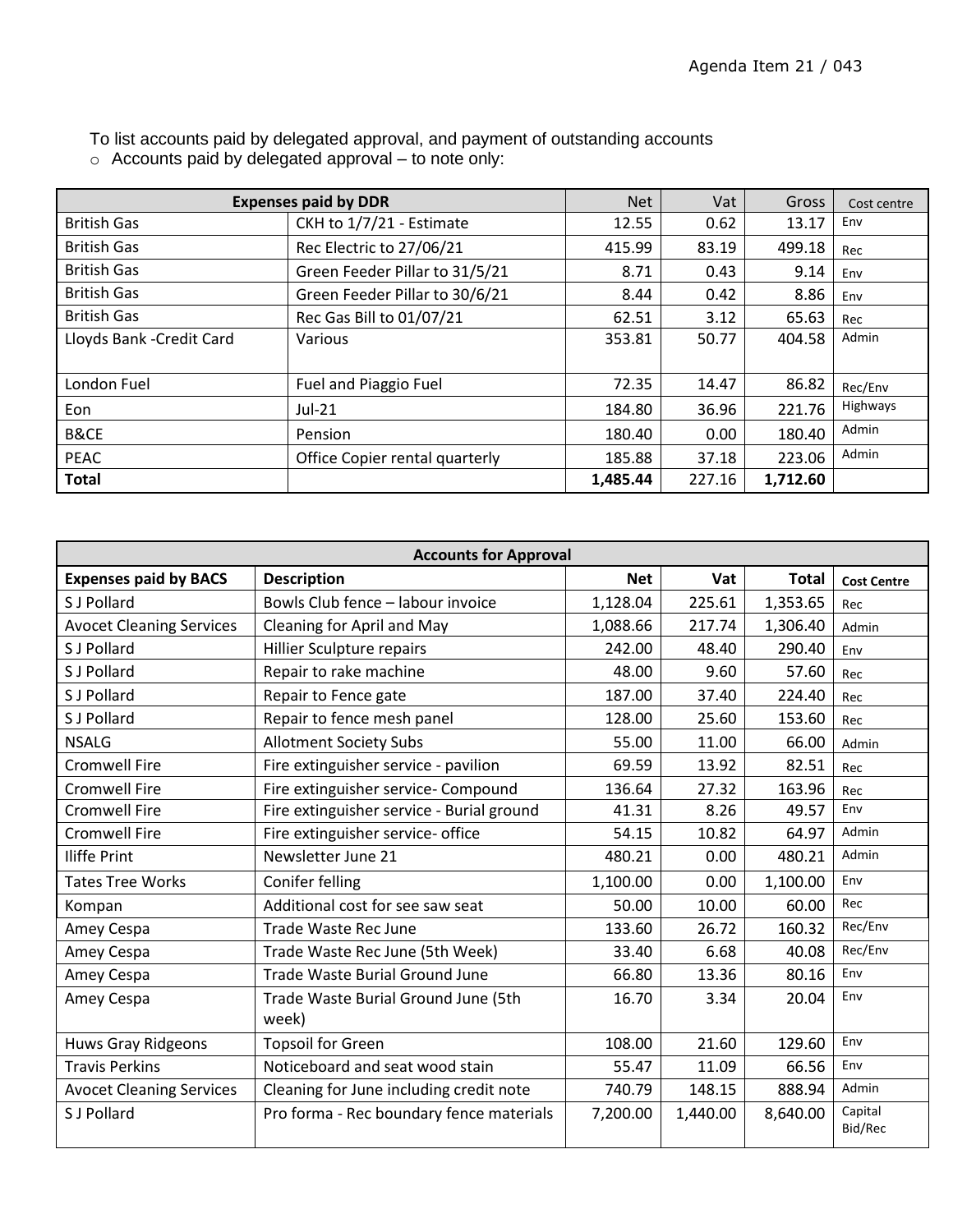| <b>Expenses paid by DDR</b> |                                | <b>Net</b> | Vat    | Gross    | Cost centre |
|-----------------------------|--------------------------------|------------|--------|----------|-------------|
| <b>British Gas</b>          | CKH to 1/7/21 - Estimate       | 12.55      | 0.62   | 13.17    | Env         |
| <b>British Gas</b>          | Rec Electric to 27/06/21       | 415.99     | 83.19  | 499.18   | Rec         |
| <b>British Gas</b>          | Green Feeder Pillar to 31/5/21 | 8.71       | 0.43   | 9.14     | Env         |
| <b>British Gas</b>          | Green Feeder Pillar to 30/6/21 | 8.44       | 0.42   | 8.86     | Env         |
| <b>British Gas</b>          | Rec Gas Bill to 01/07/21       | 62.51      | 3.12   | 65.63    | Rec         |
| Lloyds Bank - Credit Card   | Various                        | 353.81     | 50.77  | 404.58   | Admin       |
|                             |                                |            |        |          |             |
| London Fuel                 | Fuel and Piaggio Fuel          | 72.35      | 14.47  | 86.82    | Rec/Env     |
| Eon                         | $Jul-21$                       | 184.80     | 36.96  | 221.76   | Highways    |
| B&CE                        | Pension                        | 180.40     | 0.00   | 180.40   | Admin       |
| <b>PEAC</b>                 | Office Copier rental quarterly | 185.88     | 37.18  | 223.06   | Admin       |
| <b>Total</b>                |                                | 1,485.44   | 227.16 | 1,712.60 |             |

To list accounts paid by delegated approval, and payment of outstanding accounts  $\circ$  Accounts paid by delegated approval – to note only:

| <b>Accounts for Approval</b>    |                                              |            |          |              |                    |
|---------------------------------|----------------------------------------------|------------|----------|--------------|--------------------|
| <b>Expenses paid by BACS</b>    | <b>Description</b>                           | <b>Net</b> | Vat      | <b>Total</b> | <b>Cost Centre</b> |
| S J Pollard                     | Bowls Club fence - labour invoice            | 1,128.04   | 225.61   | 1,353.65     | Rec                |
| <b>Avocet Cleaning Services</b> | Cleaning for April and May                   | 1,088.66   | 217.74   | 1,306.40     | Admin              |
| S J Pollard                     | <b>Hillier Sculpture repairs</b>             | 242.00     | 48.40    | 290.40       | Env                |
| S J Pollard                     | Repair to rake machine                       | 48.00      | 9.60     | 57.60        | Rec                |
| S J Pollard                     | Repair to Fence gate                         | 187.00     | 37.40    | 224.40       | Rec                |
| S J Pollard                     | Repair to fence mesh panel                   | 128.00     | 25.60    | 153.60       | Rec                |
| <b>NSALG</b>                    | <b>Allotment Society Subs</b>                | 55.00      | 11.00    | 66.00        | Admin              |
| <b>Cromwell Fire</b>            | Fire extinguisher service - pavilion         | 69.59      | 13.92    | 82.51        | Rec                |
| <b>Cromwell Fire</b>            | Fire extinguisher service- Compound          | 136.64     | 27.32    | 163.96       | Rec                |
| <b>Cromwell Fire</b>            | Fire extinguisher service - Burial ground    | 41.31      | 8.26     | 49.57        | Env                |
| <b>Cromwell Fire</b>            | Fire extinguisher service- office            | 54.15      | 10.82    | 64.97        | Admin              |
| <b>Iliffe Print</b>             | Newsletter June 21                           | 480.21     | 0.00     | 480.21       | Admin              |
| <b>Tates Tree Works</b>         | Conifer felling                              | 1,100.00   | 0.00     | 1,100.00     | Env                |
| Kompan                          | Additional cost for see saw seat             | 50.00      | 10.00    | 60.00        | Rec                |
| Amey Cespa                      | Trade Waste Rec June                         | 133.60     | 26.72    | 160.32       | Rec/Env            |
| Amey Cespa                      | Trade Waste Rec June (5th Week)              | 33.40      | 6.68     | 40.08        | Rec/Env            |
| Amey Cespa                      | Trade Waste Burial Ground June               | 66.80      | 13.36    | 80.16        | Env                |
| Amey Cespa                      | Trade Waste Burial Ground June (5th<br>week) | 16.70      | 3.34     | 20.04        | Env                |
| <b>Huws Gray Ridgeons</b>       | <b>Topsoil for Green</b>                     | 108.00     | 21.60    | 129.60       | Env                |
| <b>Travis Perkins</b>           | Noticeboard and seat wood stain              | 55.47      | 11.09    | 66.56        | Env                |
| <b>Avocet Cleaning Services</b> | Cleaning for June including credit note      | 740.79     | 148.15   | 888.94       | Admin              |
| S J Pollard                     | Pro forma - Rec boundary fence materials     | 7,200.00   | 1,440.00 | 8,640.00     | Capital<br>Bid/Rec |